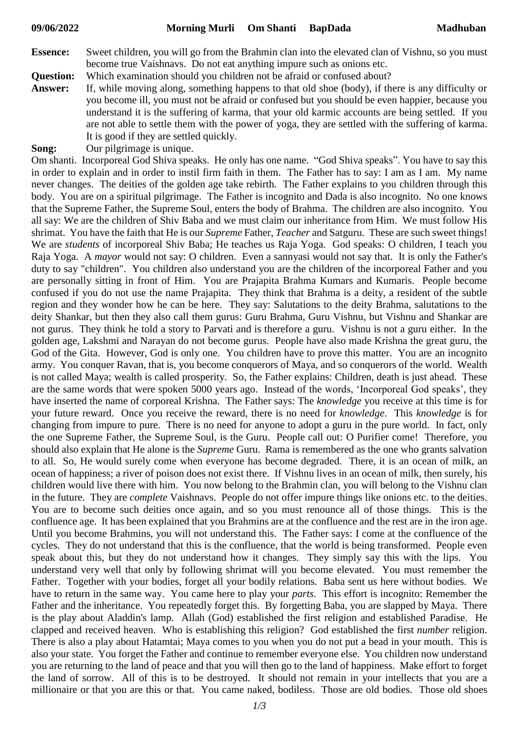- **Essence:** Sweet children, you will go from the Brahmin clan into the elevated clan of Vishnu, so you must become true Vaishnavs. Do not eat anything impure such as onions etc.
- **Question:** Which examination should you children not be afraid or confused about?
- **Answer:** If, while moving along, something happens to that old shoe (body), if there is any difficulty or you become ill, you must not be afraid or confused but you should be even happier, because you understand it is the suffering of karma, that your old karmic accounts are being settled. If you are not able to settle them with the power of yoga, they are settled with the suffering of karma. It is good if they are settled quickly.
- **Song:** Our pilgrimage is unique.

Om shanti. Incorporeal God Shiva speaks. He only has one name. "God Shiva speaks". You have to say this in order to explain and in order to instil firm faith in them. The Father has to say: I am as I am. My name never changes. The deities of the golden age take rebirth. The Father explains to you children through this body. You are on a spiritual pilgrimage. The Father is incognito and Dada is also incognito. No one knows that the Supreme Father, the Supreme Soul, enters the body of Brahma. The children are also incognito. You all say: We are the children of Shiv Baba and we must claim our inheritance from Him. We must follow His shrimat. You have the faith that He is our *Supreme* Father, *Teacher* and Satguru. These are such sweet things! We are *students* of incorporeal Shiv Baba; He teaches us Raja Yoga. God speaks: O children, I teach you Raja Yoga. A *mayor* would not say: O children. Even a sannyasi would not say that. It is only the Father's duty to say "children". You children also understand you are the children of the incorporeal Father and you are personally sitting in front of Him. You are Prajapita Brahma Kumars and Kumaris. People become confused if you do not use the name Prajapita. They think that Brahma is a deity, a resident of the subtle region and they wonder how he can be here. They say: Salutations to the deity Brahma, salutations to the deity Shankar, but then they also call them gurus: Guru Brahma, Guru Vishnu, but Vishnu and Shankar are not gurus. They think he told a story to Parvati and is therefore a guru. Vishnu is not a guru either. In the golden age, Lakshmi and Narayan do not become gurus. People have also made Krishna the great guru, the God of the Gita. However, God is only one. You children have to prove this matter. You are an incognito army. You conquer Ravan, that is, you become conquerors of Maya, and so conquerors of the world. Wealth is not called Maya; wealth is called prosperity. So, the Father explains: Children, death is just ahead. These are the same words that were spoken 5000 years ago. Instead of the words, 'Incorporeal God speaks', they have inserted the name of corporeal Krishna. The Father says: The *knowledge* you receive at this time is for your future reward. Once you receive the reward, there is no need for *knowledge*. This *knowledge* is for changing from impure to pure. There is no need for anyone to adopt a guru in the pure world. In fact, only the one Supreme Father, the Supreme Soul, is the Guru. People call out: O Purifier come! Therefore, you should also explain that He alone is the *Supreme* Guru. Rama is remembered as the one who grants salvation to all. So, He would surely come when everyone has become degraded. There, it is an ocean of milk, an ocean of happiness; a river of poison does not exist there. If Vishnu lives in an ocean of milk, then surely, his children would live there with him. You now belong to the Brahmin clan, you will belong to the Vishnu clan in the future. They are *complete* Vaishnavs. People do not offer impure things like onions etc. to the deities. You are to become such deities once again, and so you must renounce all of those things. This is the confluence age. It has been explained that you Brahmins are at the confluence and the rest are in the iron age. Until you become Brahmins, you will not understand this. The Father says: I come at the confluence of the cycles. They do not understand that this is the confluence, that the world is being transformed. People even speak about this, but they do not understand how it changes. They simply say this with the lips. You understand very well that only by following shrimat will you become elevated. You must remember the Father. Together with your bodies, forget all your bodily relations. Baba sent us here without bodies. We have to return in the same way. You came here to play your *parts*. This effort is incognito: Remember the Father and the inheritance. You repeatedly forget this. By forgetting Baba, you are slapped by Maya. There is the play about Aladdin's lamp. Allah (God) established the first religion and established Paradise. He clapped and received heaven. Who is establishing this religion? God established the first *number* religion. There is also a play about Hatamtai; Maya comes to you when you do not put a bead in your mouth. This is also your state. You forget the Father and continue to remember everyone else. You children now understand you are returning to the land of peace and that you will then go to the land of happiness. Make effort to forget the land of sorrow. All of this is to be destroyed. It should not remain in your intellects that you are a millionaire or that you are this or that. You came naked, bodiless. Those are old bodies. Those old shoes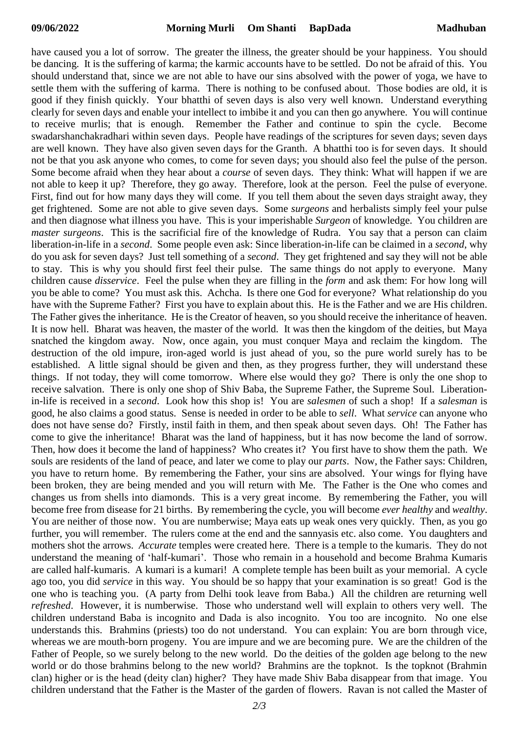have caused you a lot of sorrow. The greater the illness, the greater should be your happiness. You should be dancing. It is the suffering of karma; the karmic accounts have to be settled. Do not be afraid of this. You should understand that, since we are not able to have our sins absolved with the power of yoga, we have to settle them with the suffering of karma. There is nothing to be confused about. Those bodies are old, it is good if they finish quickly. Your bhatthi of seven days is also very well known. Understand everything clearly for seven days and enable your intellect to imbibe it and you can then go anywhere. You will continue to receive murlis; that is enough. Remember the Father and continue to spin the cycle. Become swadarshanchakradhari within seven days. People have readings of the scriptures for seven days; seven days are well known. They have also given seven days for the Granth. A bhatthi too is for seven days. It should not be that you ask anyone who comes, to come for seven days; you should also feel the pulse of the person. Some become afraid when they hear about a *course* of seven days. They think: What will happen if we are not able to keep it up? Therefore, they go away. Therefore, look at the person. Feel the pulse of everyone. First, find out for how many days they will come. If you tell them about the seven days straight away, they get frightened. Some are not able to give seven days. Some *surgeons* and herbalists simply feel your pulse and then diagnose what illness you have. This is your imperishable *Surgeon* of knowledge. You children are *master surgeons*. This is the sacrificial fire of the knowledge of Rudra. You say that a person can claim liberation-in-life in a *second*. Some people even ask: Since liberation-in-life can be claimed in a *second*, why do you ask for seven days? Just tell something of a *second*. They get frightened and say they will not be able to stay. This is why you should first feel their pulse. The same things do not apply to everyone. Many children cause *disservice*. Feel the pulse when they are filling in the *form* and ask them: For how long will you be able to come? You must ask this. Achcha. Is there one God for everyone? What relationship do you have with the Supreme Father? First you have to explain about this. He is the Father and we are His children. The Father gives the inheritance. He is the Creator of heaven, so you should receive the inheritance of heaven. It is now hell. Bharat was heaven, the master of the world. It was then the kingdom of the deities, but Maya snatched the kingdom away. Now, once again, you must conquer Maya and reclaim the kingdom. The destruction of the old impure, iron-aged world is just ahead of you, so the pure world surely has to be established. A little signal should be given and then, as they progress further, they will understand these things. If not today, they will come tomorrow. Where else would they go? There is only the one shop to receive salvation. There is only one shop of Shiv Baba, the Supreme Father, the Supreme Soul. Liberationin-life is received in a *second*. Look how this shop is! You are *salesmen* of such a shop! If a *salesman* is good, he also claims a good status. Sense is needed in order to be able to *sell*. What *service* can anyone who does not have sense do? Firstly, instil faith in them, and then speak about seven days. Oh! The Father has come to give the inheritance! Bharat was the land of happiness, but it has now become the land of sorrow. Then, how does it become the land of happiness? Who creates it? You first have to show them the path. We souls are residents of the land of peace, and later we come to play our *parts*. Now, the Father says: Children, you have to return home. By remembering the Father, your sins are absolved. Your wings for flying have been broken, they are being mended and you will return with Me. The Father is the One who comes and changes us from shells into diamonds. This is a very great income. By remembering the Father, you will become free from disease for 21 births. By remembering the cycle, you will become *ever healthy* and *wealthy*. You are neither of those now. You are numberwise; Maya eats up weak ones very quickly. Then, as you go further, you will remember. The rulers come at the end and the sannyasis etc. also come. You daughters and mothers shot the arrows. *Accurate* temples were created here. There is a temple to the kumaris. They do not understand the meaning of 'half-kumari'. Those who remain in a household and become Brahma Kumaris are called half-kumaris. A kumari is a kumari! A complete temple has been built as your memorial. A cycle ago too, you did *service* in this way. You should be so happy that your examination is so great! God is the one who is teaching you. (A party from Delhi took leave from Baba.) All the children are returning well *refreshed*. However, it is numberwise. Those who understand well will explain to others very well. The children understand Baba is incognito and Dada is also incognito. You too are incognito. No one else understands this. Brahmins (priests) too do not understand. You can explain: You are born through vice, whereas we are mouth-born progeny. You are impure and we are becoming pure. We are the children of the Father of People, so we surely belong to the new world. Do the deities of the golden age belong to the new world or do those brahmins belong to the new world? Brahmins are the topknot. Is the topknot (Brahmin clan) higher or is the head (deity clan) higher? They have made Shiv Baba disappear from that image. You children understand that the Father is the Master of the garden of flowers. Ravan is not called the Master of